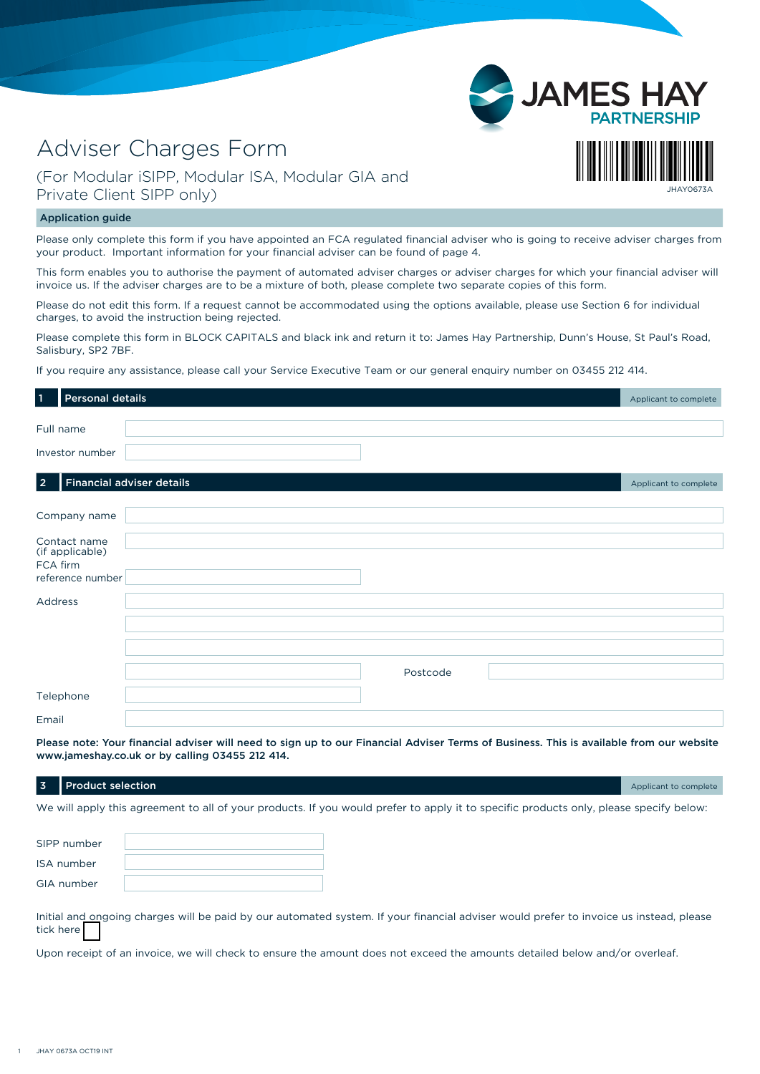# Adviser Charges Form

### (For Modular iSIPP, Modular ISA, Modular GIA and Private Client SIPP only)

#### Application guide

Please only complete this form if you have appointed an FCA regulated financial adviser who is going to receive adviser charges from your product. Important information for your financial adviser can be found of page 4.

JHAY0673A

**JAME** 

This form enables you to authorise the payment of automated adviser charges or adviser charges for which your financial adviser will invoice us. If the adviser charges are to be a mixture of both, please complete two separate copies of this form.

Please do not edit this form. If a request cannot be accommodated using the options available, please use Section 6 for individual charges, to avoid the instruction being rejected.

Please complete this form in BLOCK CAPITALS and black ink and return it to: James Hay Partnership, Dunn's House, St Paul's Road, Salisbury, SP2 7BF.

If you require any assistance, please call your Service Executive Team or our general enquiry number on 03455 212 414.

| $\vert$ 1 | Personal details                                    |                           | Applicant to complete |
|-----------|-----------------------------------------------------|---------------------------|-----------------------|
|           | Full name                                           |                           |                       |
|           | Investor number                                     |                           |                       |
| 2         |                                                     | Financial adviser details | Applicant to complete |
|           | Company name                                        |                           |                       |
| FCA firm  | Contact name<br>(if applicable)<br>reference number |                           |                       |
| Address   |                                                     |                           |                       |
|           |                                                     |                           |                       |
|           |                                                     | Postcode                  |                       |
|           | Telephone                                           |                           |                       |
| Email     |                                                     |                           |                       |

Please note: Your financial adviser will need to sign up to our Financial Adviser Terms of Business. This is available from our website www.jameshay.co.uk or by calling 03455 212 414.

## **3** Product selection **Applicant to complete**  $\overline{3}$  Product selection

We will apply this agreement to all of your products. If you would prefer to apply it to specific products only, please specify below:

| SIPP number |  |
|-------------|--|
| ISA number  |  |
| GIA number  |  |

Initial and ongoing charges will be paid by our automated system. If your financial adviser would prefer to invoice us instead, please tick here

Upon receipt of an invoice, we will check to ensure the amount does not exceed the amounts detailed below and/or overleaf.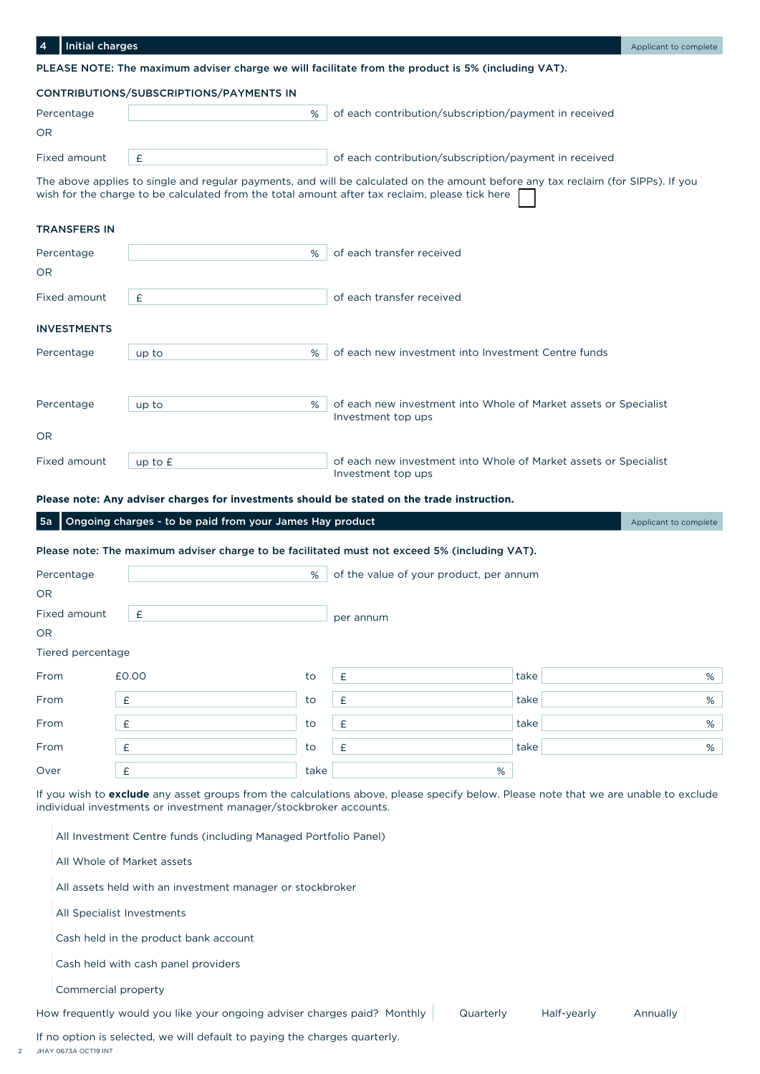| <b>Initial charges</b><br>4 |                                                                                                |                                                                                                                                   | Applicant to complete |
|-----------------------------|------------------------------------------------------------------------------------------------|-----------------------------------------------------------------------------------------------------------------------------------|-----------------------|
|                             |                                                                                                | PLEASE NOTE: The maximum adviser charge we will facilitate from the product is 5% (including VAT).                                |                       |
|                             | CONTRIBUTIONS/SUBSCRIPTIONS/PAYMENTS IN                                                        |                                                                                                                                   |                       |
| Percentage                  | %                                                                                              | of each contribution/subscription/payment in received                                                                             |                       |
| OR                          |                                                                                                |                                                                                                                                   |                       |
| Fixed amount                | £                                                                                              | of each contribution/subscription/payment in received                                                                             |                       |
|                             | wish for the charge to be calculated from the total amount after tax reclaim, please tick here | The above applies to single and regular payments, and will be calculated on the amount before any tax reclaim (for SIPPs). If you |                       |
| <b>TRANSFERS IN</b>         |                                                                                                |                                                                                                                                   |                       |
| Percentage                  | %                                                                                              | of each transfer received                                                                                                         |                       |
| <b>OR</b>                   |                                                                                                |                                                                                                                                   |                       |
| Fixed amount                | £                                                                                              | of each transfer received                                                                                                         |                       |
| <b>INVESTMENTS</b>          |                                                                                                |                                                                                                                                   |                       |
| Percentage                  | %<br>up to                                                                                     | of each new investment into Investment Centre funds                                                                               |                       |
|                             |                                                                                                |                                                                                                                                   |                       |
| Percentage                  | %<br>up to                                                                                     | of each new investment into Whole of Market assets or Specialist                                                                  |                       |
| <b>OR</b>                   |                                                                                                | Investment top ups                                                                                                                |                       |
| Fixed amount                | up to $E$                                                                                      | of each new investment into Whole of Market assets or Specialist<br>Investment top ups                                            |                       |

**Please note: Any adviser charges for investments should be stated on the trade instruction.**

| Ongoing charges - to be paid from your James Hay product<br><b>5a</b> |                                                                                               |      |                                         |      | Applicant to complete |
|-----------------------------------------------------------------------|-----------------------------------------------------------------------------------------------|------|-----------------------------------------|------|-----------------------|
|                                                                       | Please note: The maximum adviser charge to be facilitated must not exceed 5% (including VAT). |      |                                         |      |                       |
| Percentage                                                            |                                                                                               | %    | of the value of your product, per annum |      |                       |
| OR.                                                                   |                                                                                               |      |                                         |      |                       |
| Fixed amount                                                          | £                                                                                             |      | per annum                               |      |                       |
| OR.                                                                   |                                                                                               |      |                                         |      |                       |
| Tiered percentage                                                     |                                                                                               |      |                                         |      |                       |
| From                                                                  | £0.00                                                                                         | to   | £                                       | take | %                     |
| From                                                                  | £                                                                                             | to   | £                                       | take | %                     |
| From                                                                  | £                                                                                             | to   | £                                       | take | %                     |
| From                                                                  | £                                                                                             | to   | £                                       | take | %                     |
| Over                                                                  | £                                                                                             | take | %                                       |      |                       |

If you wish to **exclude** any asset groups from the calculations above, please specify below. Please note that we are unable to exclude individual investments or investment manager/stockbroker accounts.

All Investment Centre funds (including Managed Portfolio Panel)

All Whole of Market assets

All assets held with an investment manager or stockbroker

All Specialist Investments

Cash held in the product bank account

Cash held with cash panel providers

Commercial property

How frequently would you like your ongoing adviser charges paid? Monthly Quarterly Half-yearly Annually

If no option is selected, we will default to paying the charges quarterly.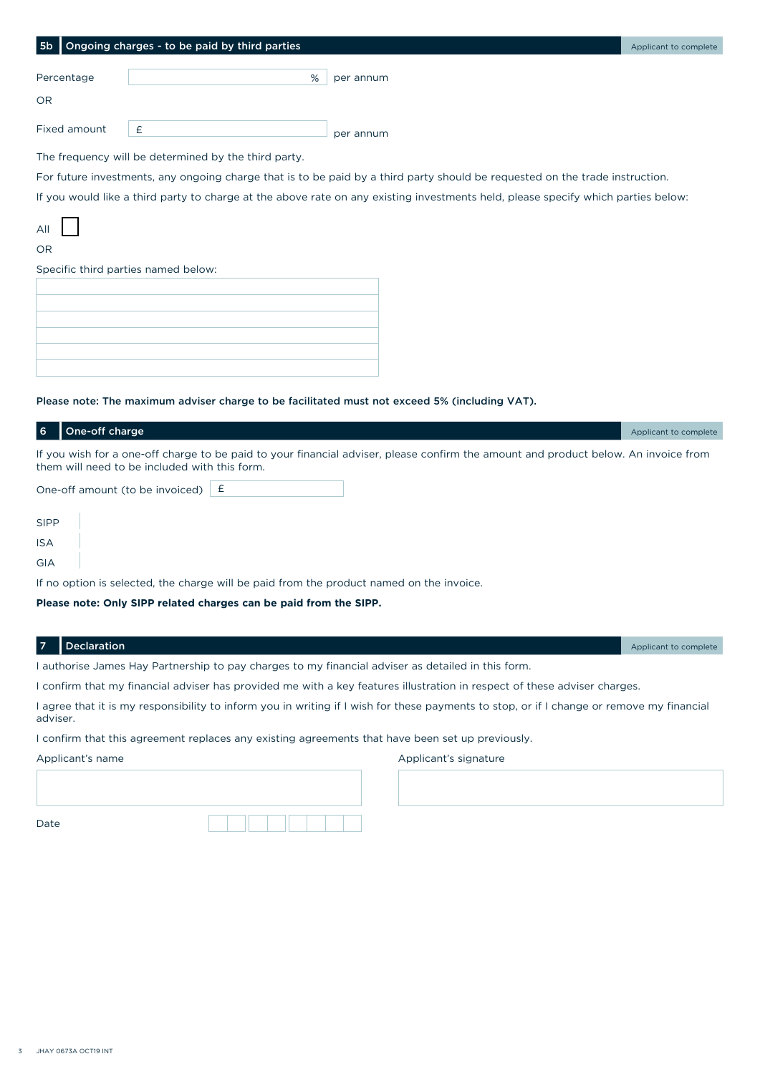| 5b                                  | Ongoing charges - to be paid by third parties        |                                                                                                                                   | Applicant to complete |
|-------------------------------------|------------------------------------------------------|-----------------------------------------------------------------------------------------------------------------------------------|-----------------------|
|                                     |                                                      |                                                                                                                                   |                       |
| Percentage                          | %                                                    | per annum                                                                                                                         |                       |
| <b>OR</b>                           |                                                      |                                                                                                                                   |                       |
| Fixed amount                        | £                                                    | per annum                                                                                                                         |                       |
|                                     | The frequency will be determined by the third party. |                                                                                                                                   |                       |
|                                     |                                                      | For future investments, any ongoing charge that is to be paid by a third party should be requested on the trade instruction.      |                       |
|                                     |                                                      | If you would like a third party to charge at the above rate on any existing investments held, please specify which parties below: |                       |
| All                                 |                                                      |                                                                                                                                   |                       |
| <b>OR</b>                           |                                                      |                                                                                                                                   |                       |
| Specific third parties named below: |                                                      |                                                                                                                                   |                       |
|                                     |                                                      |                                                                                                                                   |                       |

| ,我们也不会有什么?""我们的人,我们也不会有什么?""我们的人,我们也不会有什么?""我们的人,我们也不会有什么?""我们的人,我们也不会有什么?""我们的人 |  |
|----------------------------------------------------------------------------------|--|
| ,我们也不会有什么?""我们的人,我们也不会有什么?""我们的人,我们也不会有什么?""我们的人,我们也不会有什么?""我们的人,我们也不会有什么?""我们的人 |  |

#### Please note: The maximum adviser charge to be facilitated must not exceed 5% (including VAT).

| l 6         | One-off charge                                                                                                                                                                       | Applicant to complete |
|-------------|--------------------------------------------------------------------------------------------------------------------------------------------------------------------------------------|-----------------------|
|             | If you wish for a one-off charge to be paid to your financial adviser, please confirm the amount and product below. An invoice from<br>them will need to be included with this form. |                       |
|             | One-off amount (to be invoiced) $\mathsf{E}$                                                                                                                                         |                       |
| <b>SIPP</b> |                                                                                                                                                                                      |                       |
| <b>ISA</b>  |                                                                                                                                                                                      |                       |
| GIA         |                                                                                                                                                                                      |                       |
|             | If no option is selected, the charge will be paid from the product named on the invoice.                                                                                             |                       |

#### **Please note: Only SIPP related charges can be paid from the SIPP.**

| Declaration |
|-------------|
|             |

Applicant to complete

I authorise James Hay Partnership to pay charges to my financial adviser as detailed in this form.

I confirm that my financial adviser has provided me with a key features illustration in respect of these adviser charges.

I agree that it is my responsibility to inform you in writing if I wish for these payments to stop, or if I change or remove my financial adviser.

I confirm that this agreement replaces any existing agreements that have been set up previously.

Applicant's name

Applicant's signature

Date